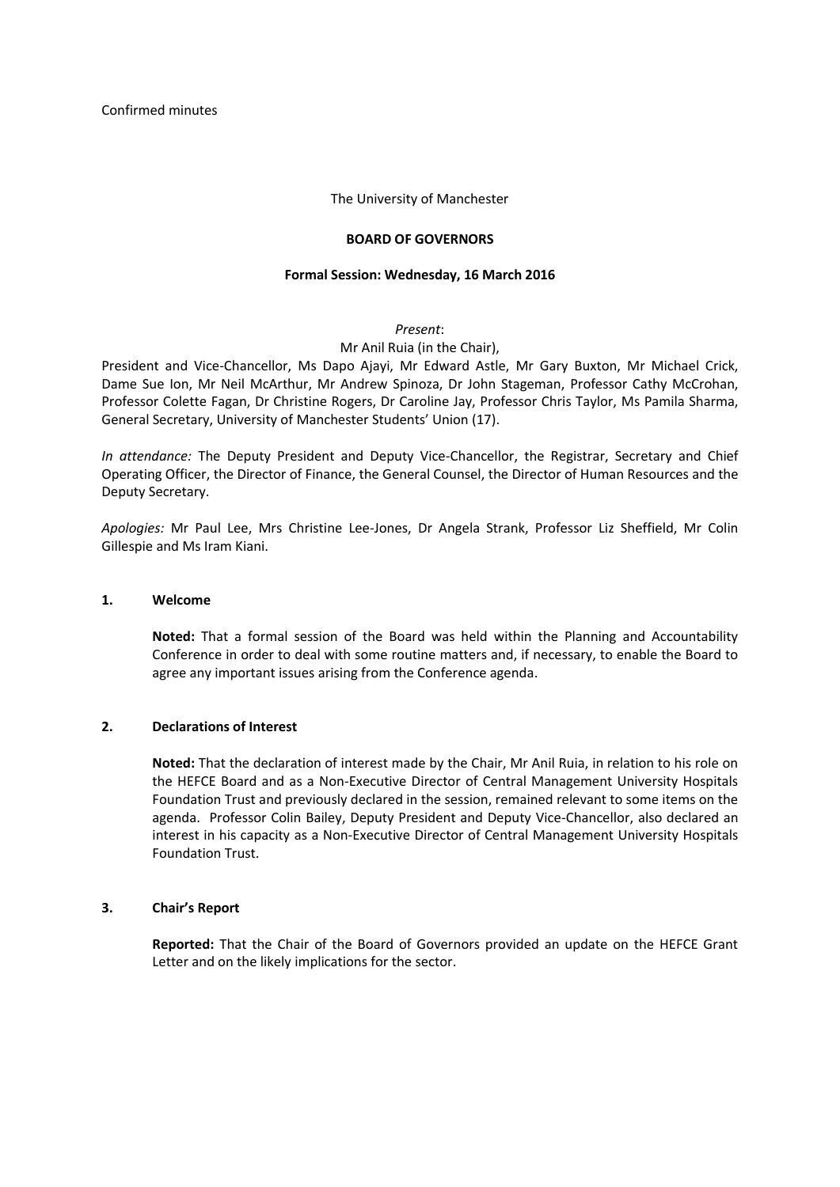### The University of Manchester

### **BOARD OF GOVERNORS**

#### **Formal Session: Wednesday, 16 March 2016**

### *Present*:

## Mr Anil Ruia (in the Chair),

President and Vice-Chancellor, Ms Dapo Ajayi, Mr Edward Astle, Mr Gary Buxton, Mr Michael Crick, Dame Sue Ion, Mr Neil McArthur, Mr Andrew Spinoza, Dr John Stageman, Professor Cathy McCrohan, Professor Colette Fagan, Dr Christine Rogers, Dr Caroline Jay, Professor Chris Taylor, Ms Pamila Sharma, General Secretary, University of Manchester Students' Union (17).

*In attendance:* The Deputy President and Deputy Vice-Chancellor, the Registrar, Secretary and Chief Operating Officer, the Director of Finance, the General Counsel, the Director of Human Resources and the Deputy Secretary.

*Apologies:* Mr Paul Lee, Mrs Christine Lee-Jones, Dr Angela Strank, Professor Liz Sheffield, Mr Colin Gillespie and Ms Iram Kiani.

### **1. Welcome**

**Noted:** That a formal session of the Board was held within the Planning and Accountability Conference in order to deal with some routine matters and, if necessary, to enable the Board to agree any important issues arising from the Conference agenda.

## **2. Declarations of Interest**

**Noted:** That the declaration of interest made by the Chair, Mr Anil Ruia, in relation to his role on the HEFCE Board and as a Non-Executive Director of Central Management University Hospitals Foundation Trust and previously declared in the session, remained relevant to some items on the agenda. Professor Colin Bailey, Deputy President and Deputy Vice-Chancellor, also declared an interest in his capacity as a Non-Executive Director of Central Management University Hospitals Foundation Trust.

## **3. Chair's Report**

**Reported:** That the Chair of the Board of Governors provided an update on the HEFCE Grant Letter and on the likely implications for the sector.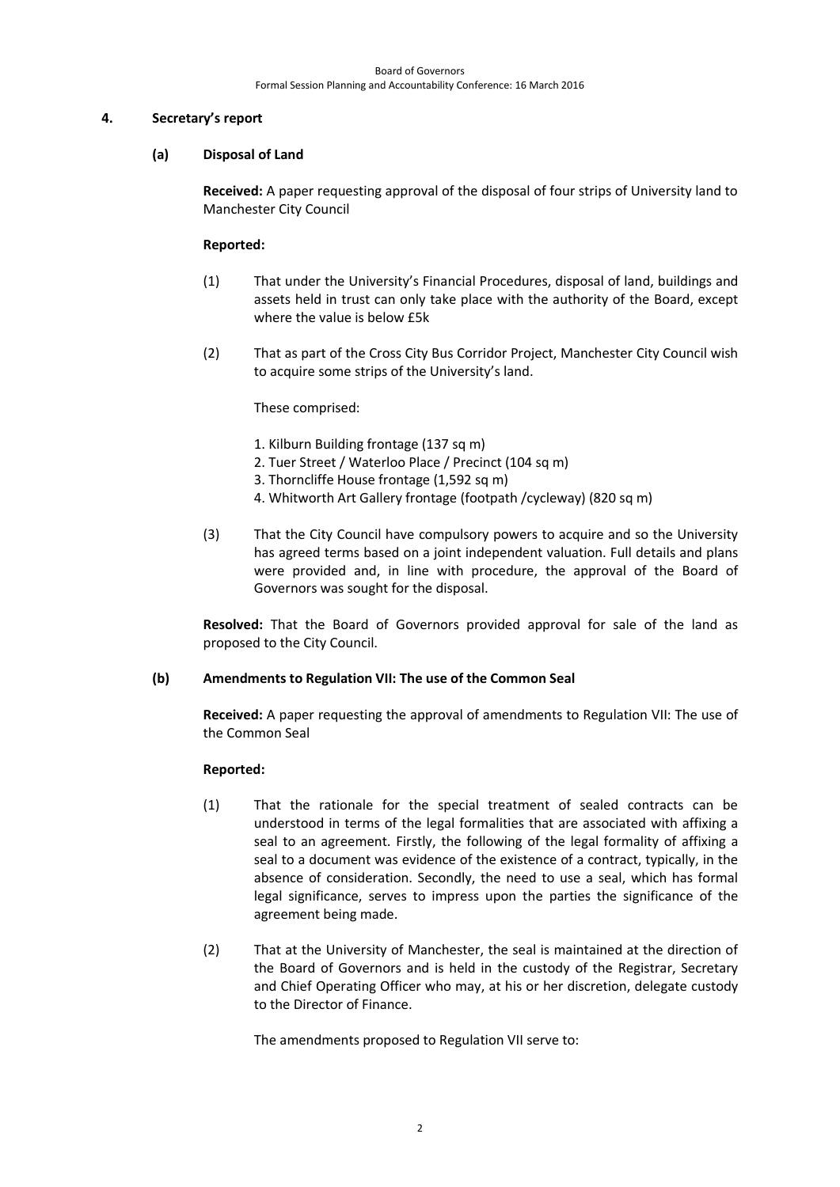## **4. Secretary's report**

## **(a) Disposal of Land**

**Received:** A paper requesting approval of the disposal of four strips of University land to Manchester City Council

## **Reported:**

- (1) That under the University's Financial Procedures, disposal of land, buildings and assets held in trust can only take place with the authority of the Board, except where the value is below £5k
- (2) That as part of the Cross City Bus Corridor Project, Manchester City Council wish to acquire some strips of the University's land.

These comprised:

- 1. Kilburn Building frontage (137 sq m)
- 2. Tuer Street / Waterloo Place / Precinct (104 sq m)
- 3. Thorncliffe House frontage (1,592 sq m)
- 4. Whitworth Art Gallery frontage (footpath /cycleway) (820 sq m)
- (3) That the City Council have compulsory powers to acquire and so the University has agreed terms based on a joint independent valuation. Full details and plans were provided and, in line with procedure, the approval of the Board of Governors was sought for the disposal.

**Resolved:** That the Board of Governors provided approval for sale of the land as proposed to the City Council.

# **(b) Amendments to Regulation VII: The use of the Common Seal**

**Received:** A paper requesting the approval of amendments to Regulation VII: The use of the Common Seal

## **Reported:**

- (1) That the rationale for the special treatment of sealed contracts can be understood in terms of the legal formalities that are associated with affixing a seal to an agreement. Firstly, the following of the legal formality of affixing a seal to a document was evidence of the existence of a contract, typically, in the absence of consideration. Secondly, the need to use a seal, which has formal legal significance, serves to impress upon the parties the significance of the agreement being made.
- (2) That at the University of Manchester, the seal is maintained at the direction of the Board of Governors and is held in the custody of the Registrar, Secretary and Chief Operating Officer who may, at his or her discretion, delegate custody to the Director of Finance.

The amendments proposed to Regulation VII serve to: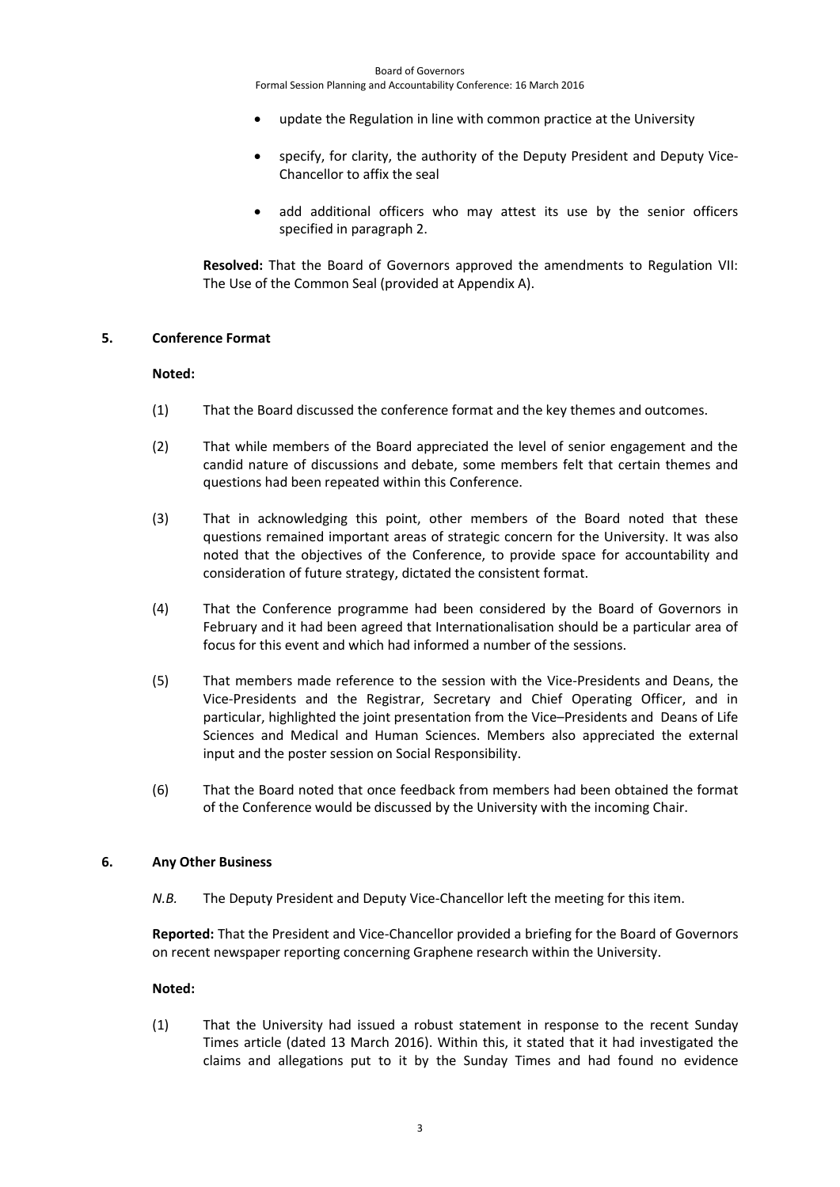Formal Session Planning and Accountability Conference: 16 March 2016

- update the Regulation in line with common practice at the University
- specify, for clarity, the authority of the Deputy President and Deputy Vice-Chancellor to affix the seal
- add additional officers who may attest its use by the senior officers specified in paragraph 2.

**Resolved:** That the Board of Governors approved the amendments to Regulation VII: The Use of the Common Seal (provided at Appendix A).

### **5. Conference Format**

## **Noted:**

- (1) That the Board discussed the conference format and the key themes and outcomes.
- (2) That while members of the Board appreciated the level of senior engagement and the candid nature of discussions and debate, some members felt that certain themes and questions had been repeated within this Conference.
- (3) That in acknowledging this point, other members of the Board noted that these questions remained important areas of strategic concern for the University. It was also noted that the objectives of the Conference, to provide space for accountability and consideration of future strategy, dictated the consistent format.
- (4) That the Conference programme had been considered by the Board of Governors in February and it had been agreed that Internationalisation should be a particular area of focus for this event and which had informed a number of the sessions.
- (5) That members made reference to the session with the Vice-Presidents and Deans, the Vice-Presidents and the Registrar, Secretary and Chief Operating Officer, and in particular, highlighted the joint presentation from the Vice–Presidents and Deans of Life Sciences and Medical and Human Sciences. Members also appreciated the external input and the poster session on Social Responsibility.
- (6) That the Board noted that once feedback from members had been obtained the format of the Conference would be discussed by the University with the incoming Chair.

## **6. Any Other Business**

*N.B.* The Deputy President and Deputy Vice-Chancellor left the meeting for this item.

**Reported:** That the President and Vice-Chancellor provided a briefing for the Board of Governors on recent newspaper reporting concerning Graphene research within the University.

## **Noted:**

(1) That the University had issued a robust statement in response to the recent Sunday Times article (dated 13 March 2016). Within this, it stated that it had investigated the claims and allegations put to it by the Sunday Times and had found no evidence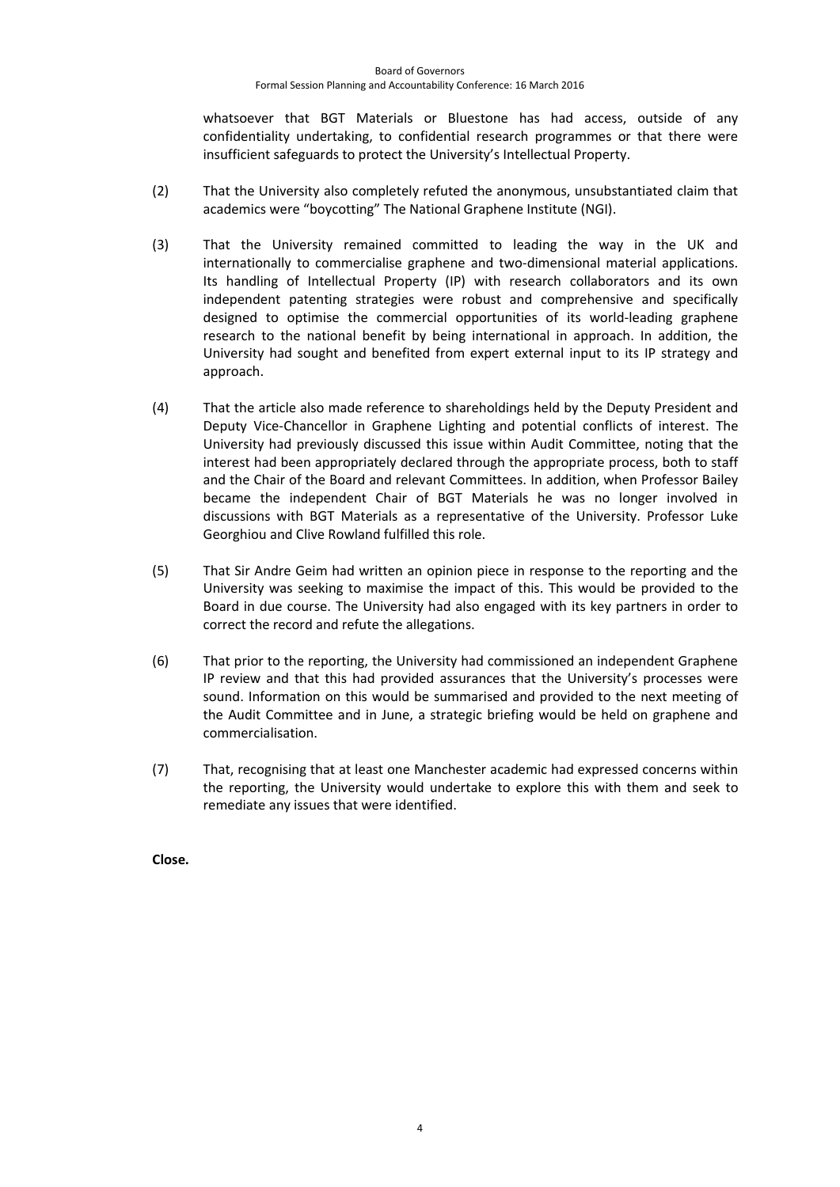#### Board of Governors Formal Session Planning and Accountability Conference: 16 March 2016

whatsoever that BGT Materials or Bluestone has had access, outside of any confidentiality undertaking, to confidential research programmes or that there were insufficient safeguards to protect the University's Intellectual Property.

- (2) That the University also completely refuted the anonymous, unsubstantiated claim that academics were "boycotting" The National Graphene Institute (NGI).
- (3) That the University remained committed to leading the way in the UK and internationally to commercialise graphene and two-dimensional material applications. Its handling of Intellectual Property (IP) with research collaborators and its own independent patenting strategies were robust and comprehensive and specifically designed to optimise the commercial opportunities of its world-leading graphene research to the national benefit by being international in approach. In addition, the University had sought and benefited from expert external input to its IP strategy and approach.
- (4) That the article also made reference to shareholdings held by the Deputy President and Deputy Vice-Chancellor in Graphene Lighting and potential conflicts of interest. The University had previously discussed this issue within Audit Committee, noting that the interest had been appropriately declared through the appropriate process, both to staff and the Chair of the Board and relevant Committees. In addition, when Professor Bailey became the independent Chair of BGT Materials he was no longer involved in discussions with BGT Materials as a representative of the University. Professor Luke Georghiou and Clive Rowland fulfilled this role.
- (5) That Sir Andre Geim had written an opinion piece in response to the reporting and the University was seeking to maximise the impact of this. This would be provided to the Board in due course. The University had also engaged with its key partners in order to correct the record and refute the allegations.
- (6) That prior to the reporting, the University had commissioned an independent Graphene IP review and that this had provided assurances that the University's processes were sound. Information on this would be summarised and provided to the next meeting of the Audit Committee and in June, a strategic briefing would be held on graphene and commercialisation.
- (7) That, recognising that at least one Manchester academic had expressed concerns within the reporting, the University would undertake to explore this with them and seek to remediate any issues that were identified.

**Close.**